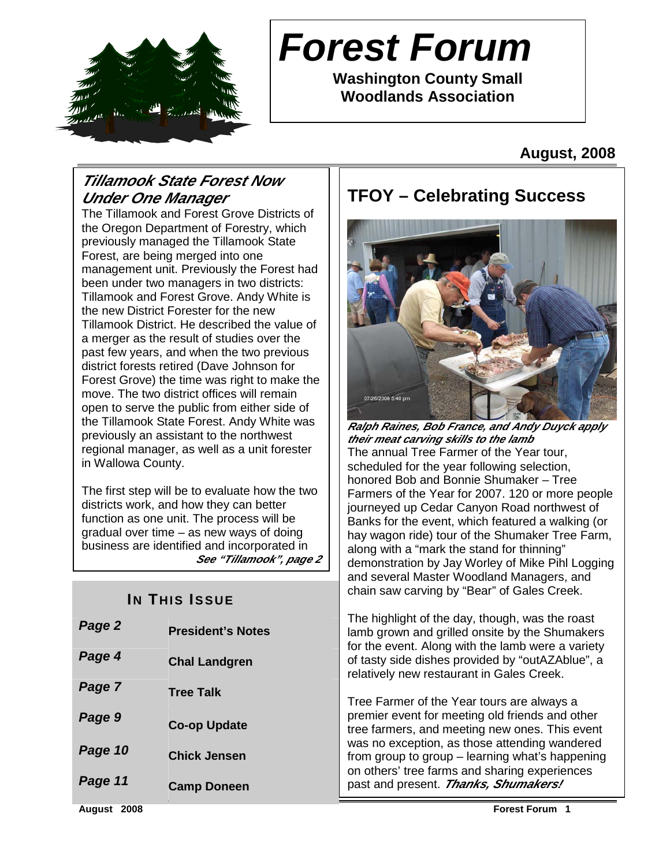

# **Forest Forum**

**Washington County Small Woodlands Association** 

**August, 2008** 

# **Tillamook State Forest Now Under One Manager**

The Tillamook and Forest Grove Districts of the Oregon Department of Forestry, which previously managed the Tillamook State Forest, are being merged into one management unit. Previously the Forest had been under two managers in two districts: Tillamook and Forest Grove. Andy White is the new District Forester for the new Tillamook District. He described the value of a merger as the result of studies over the past few years, and when the two previous district forests retired (Dave Johnson for Forest Grove) the time was right to make the move. The two district offices will remain open to serve the public from either side of the Tillamook State Forest. Andy White was previously an assistant to the northwest regional manager, as well as a unit forester in Wallowa County.

The first step will be to evaluate how the two districts work, and how they can better function as one unit. The process will be gradual over time – as new ways of doing business are identified and incorporated in **See "Tillamook", page 2**

# **IN THIS ISSUE**

| Page 2  | <b>President's Notes</b> |
|---------|--------------------------|
| Page 4  | <b>Chal Landgren</b>     |
| Page 7  | <b>Tree Talk</b>         |
| Page 9  | <b>Co-op Update</b>      |
| Page 10 | Chick Jensen             |
| Page 11 | <b>Camp Doneen</b>       |

# **TFOY – Celebrating Success**



**Ralph Raines, Bob France, and Andy Duyck apply their meat carving skills to the lamb**  The annual Tree Farmer of the Year tour, scheduled for the year following selection, honored Bob and Bonnie Shumaker – Tree Farmers of the Year for 2007. 120 or more people journeyed up Cedar Canyon Road northwest of Banks for the event, which featured a walking (or hay wagon ride) tour of the Shumaker Tree Farm, along with a "mark the stand for thinning" demonstration by Jay Worley of Mike Pihl Logging and several Master Woodland Managers, and chain saw carving by "Bear" of Gales Creek.

The highlight of the day, though, was the roast lamb grown and grilled onsite by the Shumakers for the event. Along with the lamb were a variety of tasty side dishes provided by "outAZAblue", a relatively new restaurant in Gales Creek.

Tree Farmer of the Year tours are always a premier event for meeting old friends and other tree farmers, and meeting new ones. This event was no exception, as those attending wandered from group to group – learning what's happening on others' tree farms and sharing experiences past and present. **Thanks, Shumakers!**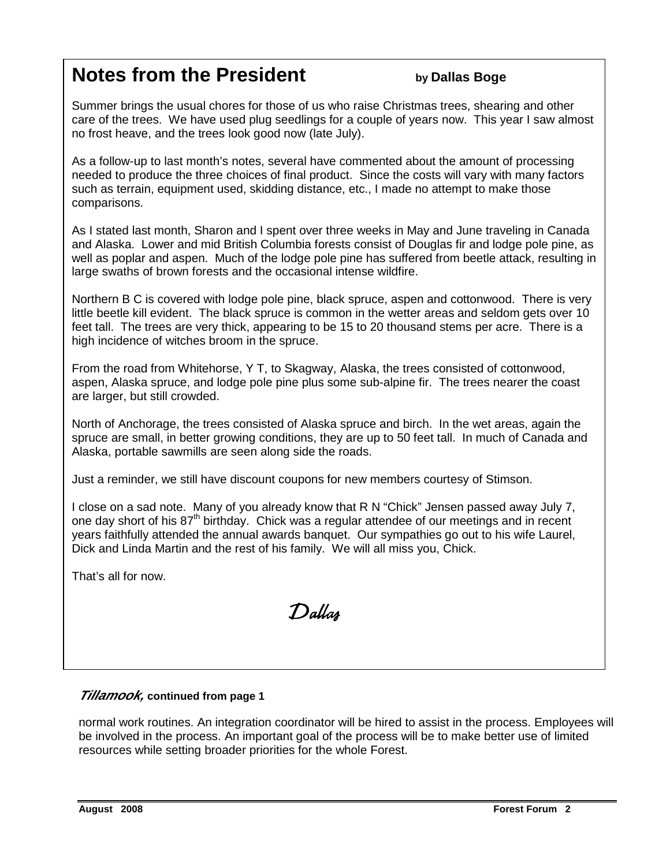# **Notes from the President by Dallas Boge**

Summer brings the usual chores for those of us who raise Christmas trees, shearing and other care of the trees. We have used plug seedlings for a couple of years now. This year I saw almost no frost heave, and the trees look good now (late July).

As a follow-up to last month's notes, several have commented about the amount of processing needed to produce the three choices of final product. Since the costs will vary with many factors such as terrain, equipment used, skidding distance, etc., I made no attempt to make those comparisons.

As I stated last month, Sharon and I spent over three weeks in May and June traveling in Canada and Alaska. Lower and mid British Columbia forests consist of Douglas fir and lodge pole pine, as well as poplar and aspen. Much of the lodge pole pine has suffered from beetle attack, resulting in large swaths of brown forests and the occasional intense wildfire.

Northern B C is covered with lodge pole pine, black spruce, aspen and cottonwood. There is very little beetle kill evident. The black spruce is common in the wetter areas and seldom gets over 10 feet tall. The trees are very thick, appearing to be 15 to 20 thousand stems per acre. There is a high incidence of witches broom in the spruce.

From the road from Whitehorse, Y T, to Skagway, Alaska, the trees consisted of cottonwood, aspen, Alaska spruce, and lodge pole pine plus some sub-alpine fir. The trees nearer the coast are larger, but still crowded.

North of Anchorage, the trees consisted of Alaska spruce and birch. In the wet areas, again the spruce are small, in better growing conditions, they are up to 50 feet tall. In much of Canada and Alaska, portable sawmills are seen along side the roads.

Just a reminder, we still have discount coupons for new members courtesy of Stimson.

I close on a sad note. Many of you already know that R N "Chick" Jensen passed away July 7, one day short of his 87<sup>th</sup> birthday. Chick was a regular attendee of our meetings and in recent years faithfully attended the annual awards banquet. Our sympathies go out to his wife Laurel, Dick and Linda Martin and the rest of his family. We will all miss you, Chick.

That's all for now.

Dallas

### **Tillamook, continued from page 1**

normal work routines. An integration coordinator will be hired to assist in the process. Employees will be involved in the process. An important goal of the process will be to make better use of limited resources while setting broader priorities for the whole Forest.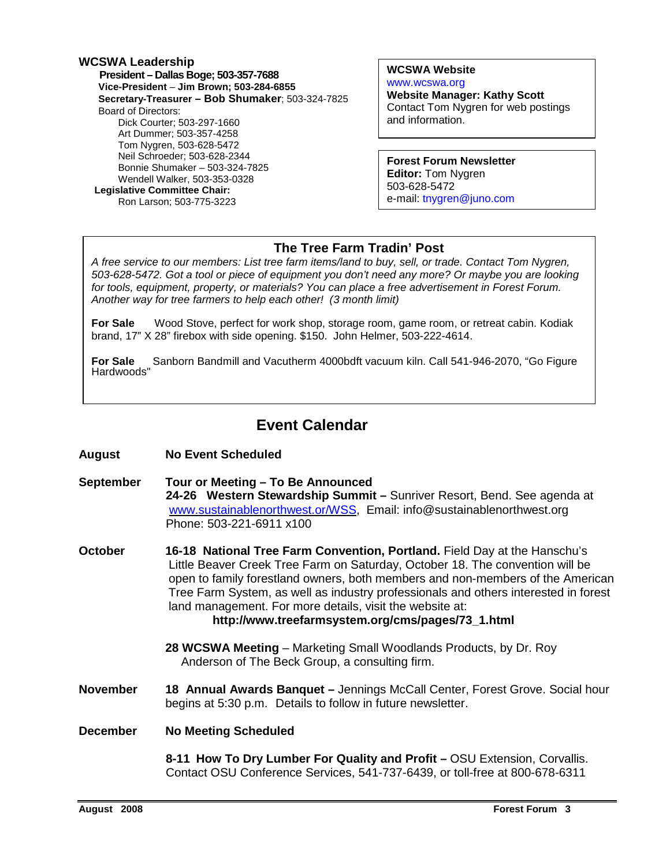### **WCSWA Leadership President – Dallas Boge; 503-357-7688 Vice-President** – **Jim Brown; 503-284-6855 Secretary-Treasurer – Bob Shumaker**; 503-324-7825 Board of Directors: Dick Courter; 503-297-1660 Art Dummer; 503-357-4258 Tom Nygren, 503-628-5472 Neil Schroeder; 503-628-2344 Bonnie Shumaker – 503-324-7825 Wendell Walker, 503-353-0328  **Legislative Committee Chair:**  Ron Larson; 503-775-3223

**WCSWA Website** www.wcswa.org **Website Manager: Kathy Scott** Contact Tom Nygren for web postings and information.

**Forest Forum Newsletter Editor:** Tom Nygren 503-628-5472 e-mail: tnygren@juno.com

### **The Tree Farm Tradin' Post**

 for tools, equipment, property, or materials? You can place a free advertisement in Forest Forum. A free service to our members: List tree farm items/land to buy, sell, or trade. Contact Tom Nygren, 503-628-5472. Got a tool or piece of equipment you don't need any more? Or maybe you are looking Another way for tree farmers to help each other! (3 month limit)

**For Sale** Wood Stove, perfect for work shop, storage room, game room, or retreat cabin. Kodiak brand, 17" X 28" firebox with side opening. \$150. John Helmer, 503-222-4614.

**For Sale** Sanborn Bandmill and Vacutherm 4000bdft vacuum kiln. Call 541-946-2070, "Go Figure Hardwoods"

# **Event Calendar**

- **August No Event Scheduled**
- **September Tour or Meeting To Be Announced 24-26 Western Stewardship Summit –** Sunriver Resort, Bend. See agenda at www.sustainablenorthwest.or/WSS, Email: info@sustainablenorthwest.org Phone: 503-221-6911 x100
- **October 16-18 National Tree Farm Convention, Portland.** Field Day at the Hanschu's Little Beaver Creek Tree Farm on Saturday, October 18. The convention will be open to family forestland owners, both members and non-members of the American Tree Farm System, as well as industry professionals and others interested in forest land management. For more details, visit the website at: **http://www.treefarmsystem.org/cms/pages/73\_1.html**
	- **28 WCSWA Meeting**  Marketing Small Woodlands Products, by Dr. Roy Anderson of The Beck Group, a consulting firm.
- **November 18 Annual Awards Banquet** Jennings McCall Center, Forest Grove. Social hour begins at 5:30 p.m. Details to follow in future newsletter.

**December No Meeting Scheduled** 

**8-11 How To Dry Lumber For Quality and Profit –** OSU Extension, Corvallis. Contact OSU Conference Services, 541-737-6439, or toll-free at 800-678-6311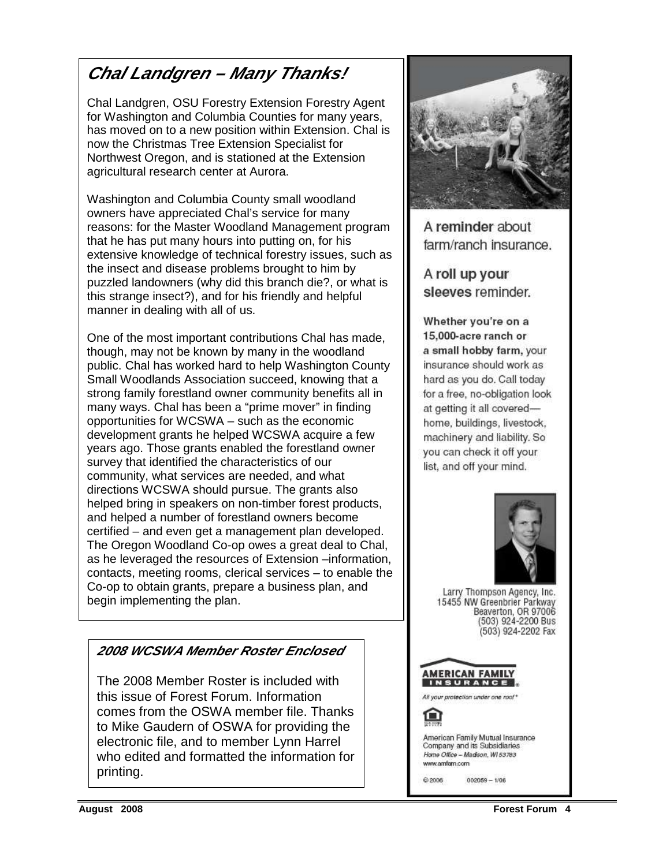# **Chal Landgren – Many Thanks!**

Chal Landgren, OSU Forestry Extension Forestry Agent for Washington and Columbia Counties for many years, has moved on to a new position within Extension. Chal is now the Christmas Tree Extension Specialist for Northwest Oregon, and is stationed at the Extension agricultural research center at Aurora.

Washington and Columbia County small woodland owners have appreciated Chal's service for many reasons: for the Master Woodland Management program that he has put many hours into putting on, for his extensive knowledge of technical forestry issues, such as the insect and disease problems brought to him by puzzled landowners (why did this branch die?, or what is this strange insect?), and for his friendly and helpful manner in dealing with all of us.

One of the most important contributions Chal has made, though, may not be known by many in the woodland public. Chal has worked hard to help Washington County Small Woodlands Association succeed, knowing that a strong family forestland owner community benefits all in many ways. Chal has been a "prime mover" in finding opportunities for WCSWA – such as the economic development grants he helped WCSWA acquire a few years ago. Those grants enabled the forestland owner survey that identified the characteristics of our community, what services are needed, and what directions WCSWA should pursue. The grants also helped bring in speakers on non-timber forest products, and helped a number of forestland owners become certified – and even get a management plan developed. The Oregon Woodland Co-op owes a great deal to Chal, as he leveraged the resources of Extension –information, contacts, meeting rooms, clerical services – to enable the Co-op to obtain grants, prepare a business plan, and begin implementing the plan.



A reminder about farm/ranch insurance.

A roll up your sleeves reminder.

Whether you're on a 15,000-acre ranch or a small hobby farm, your insurance should work as hard as you do. Call today for a free, no-obligation look at getting it all coveredhome, buildings, livestock, machinery and liability. So you can check it off your list, and off your mind.



Larry Thompson Agency, Inc. 15455 NW Greenbrier Parkway Beaverton, OR 97006 (503) 924-2200 Bus (503) 924-2202 Fax



### American Family Mutual Insurance Company and its Subsidiaries Home Office - Madison, W153783 www.amfam.com

@ 2006

 $002059 - 1/06$ 

# **2008 WCSWA Member Roster Enclosed**

The 2008 Member Roster is included with this issue of Forest Forum. Information comes from the OSWA member file. Thanks to Mike Gaudern of OSWA for providing the electronic file, and to member Lynn Harrel who edited and formatted the information for printing.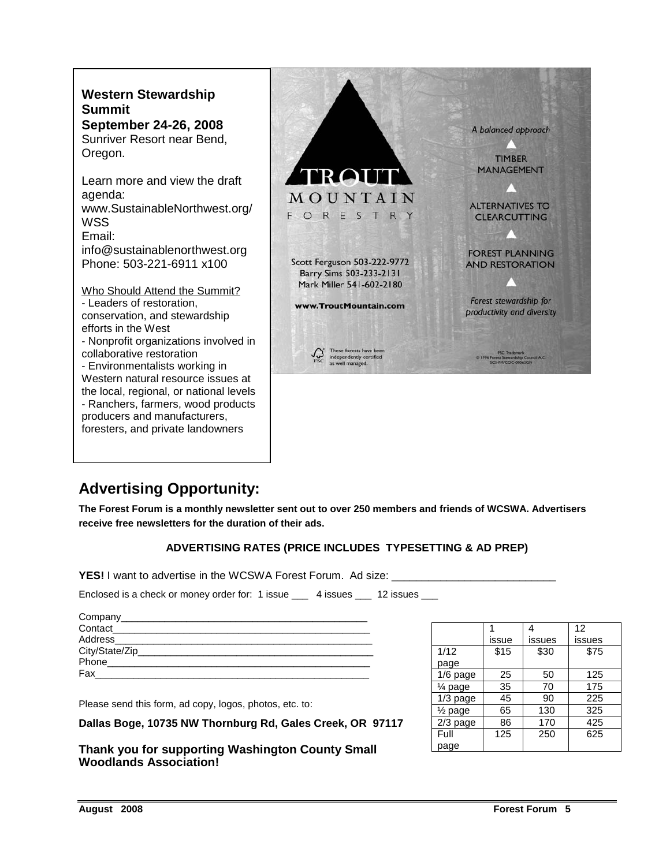

# **Advertising Opportunity:**

**The Forest Forum is a monthly newsletter sent out to over 250 members and friends of WCSWA. Advertisers receive free newsletters for the duration of their ads.** 

### **ADVERTISING RATES (PRICE INCLUDES TYPESETTING & AD PREP)**

**YES!** I want to advertise in the WCSWA Forest Forum. Ad size: \_\_\_\_\_\_

Enclosed is a check or money order for: 1 issue \_\_\_ 4 issues \_\_\_ 12 issues \_\_\_

| Company                     |  |
|-----------------------------|--|
| Contact                     |  |
| Address                     |  |
| City/State/Zip_____________ |  |
| Phone                       |  |
| Fax                         |  |

Please send this form, ad copy, logos, photos, etc. to:

**Dallas Boge, 10735 NW Thornburg Rd, Gales Creek, OR 97117** 

**Thank you for supporting Washington County Small Woodlands Association!** 

|                    |       | 4      | 12     |
|--------------------|-------|--------|--------|
|                    | issue | issues | issues |
| 1/12               | \$15  | \$30   | \$75   |
| page               |       |        |        |
| 1/6 page           | 25    | 50     | 125    |
| ¼ page             | 35    | 70     | 175    |
| $1/3$ page         | 45    | 90     | 225    |
| $\frac{1}{2}$ page | 65    | 130    | 325    |
| 2/3 page           | 86    | 170    | 425    |
| Full               | 125   | 250    | 625    |
| page               |       |        |        |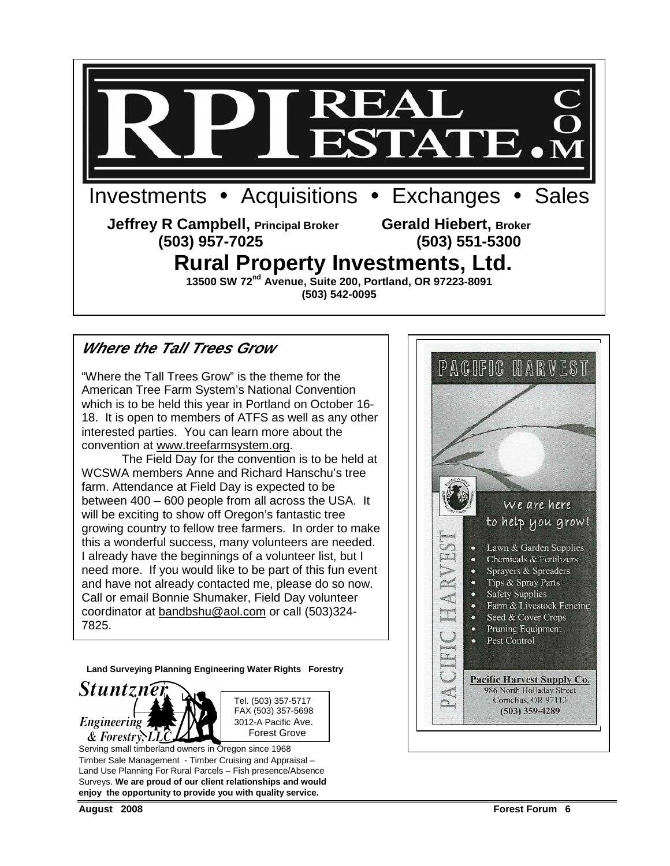

# **Where the Tall Trees Grow**

"Where the Tall Trees Grow" is the theme for the American Tree Farm System's National Convention which is to be held this year in Portland on October 16- 18. It is open to members of ATFS as well as any other interested parties. You can learn more about the convention at www.treefarmsystem.org.

 The Field Day for the convention is to be held at WCSWA members Anne and Richard Hanschu's tree farm. Attendance at Field Day is expected to be between 400 – 600 people from all across the USA. It will be exciting to show off Oregon's fantastic tree growing country to fellow tree farmers. In order to make this a wonderful success, many volunteers are needed. I already have the beginnings of a volunteer list, but I need more. If you would like to be part of this fun event and have not already contacted me, please do so now. Call or email Bonnie Shumaker, Field Day volunteer coordinator at bandbshu@aol.com or call (503)324- 7825.

**Land Surveying Planning Engineering Water Rights Forestry** 





Serving small timberland owners in Oregon since 1968 Timber Sale Management - Timber Cruising and Appraisal – Land Use Planning For Rural Parcels – Fish presence/Absence Surveys. **We are proud of our client relationships and would enjoy the opportunity to provide you with quality service.** 

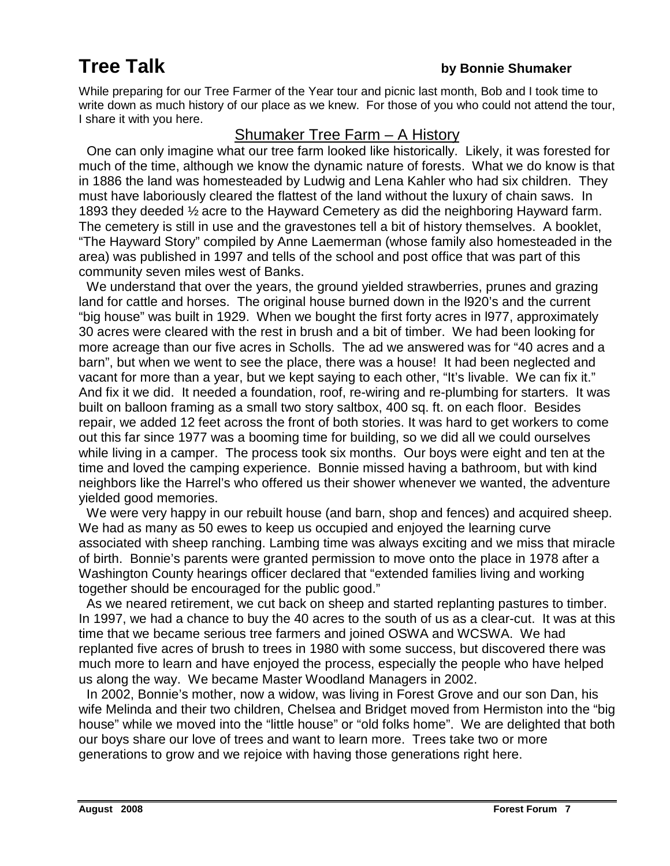# **Tree Talk** *by Bonnie Shumaker*

While preparing for our Tree Farmer of the Year tour and picnic last month, Bob and I took time to write down as much history of our place as we knew. For those of you who could not attend the tour, I share it with you here.

# Shumaker Tree Farm – A History

One can only imagine what our tree farm looked like historically. Likely, it was forested for much of the time, although we know the dynamic nature of forests. What we do know is that in 1886 the land was homesteaded by Ludwig and Lena Kahler who had six children. They must have laboriously cleared the flattest of the land without the luxury of chain saws. In 1893 they deeded ½ acre to the Hayward Cemetery as did the neighboring Hayward farm. The cemetery is still in use and the gravestones tell a bit of history themselves. A booklet, "The Hayward Story" compiled by Anne Laemerman (whose family also homesteaded in the area) was published in 1997 and tells of the school and post office that was part of this community seven miles west of Banks.

 We understand that over the years, the ground yielded strawberries, prunes and grazing land for cattle and horses. The original house burned down in the l920's and the current "big house" was built in 1929. When we bought the first forty acres in l977, approximately 30 acres were cleared with the rest in brush and a bit of timber. We had been looking for more acreage than our five acres in Scholls. The ad we answered was for "40 acres and a barn", but when we went to see the place, there was a house! It had been neglected and vacant for more than a year, but we kept saying to each other, "It's livable. We can fix it." And fix it we did. It needed a foundation, roof, re-wiring and re-plumbing for starters. It was built on balloon framing as a small two story saltbox, 400 sq. ft. on each floor. Besides repair, we added 12 feet across the front of both stories. It was hard to get workers to come out this far since 1977 was a booming time for building, so we did all we could ourselves while living in a camper. The process took six months. Our boys were eight and ten at the time and loved the camping experience. Bonnie missed having a bathroom, but with kind neighbors like the Harrel's who offered us their shower whenever we wanted, the adventure yielded good memories.

 We were very happy in our rebuilt house (and barn, shop and fences) and acquired sheep. We had as many as 50 ewes to keep us occupied and enjoyed the learning curve associated with sheep ranching. Lambing time was always exciting and we miss that miracle of birth. Bonnie's parents were granted permission to move onto the place in 1978 after a Washington County hearings officer declared that "extended families living and working together should be encouraged for the public good."

 As we neared retirement, we cut back on sheep and started replanting pastures to timber. In 1997, we had a chance to buy the 40 acres to the south of us as a clear-cut. It was at this time that we became serious tree farmers and joined OSWA and WCSWA. We had replanted five acres of brush to trees in 1980 with some success, but discovered there was much more to learn and have enjoyed the process, especially the people who have helped us along the way. We became Master Woodland Managers in 2002.

 In 2002, Bonnie's mother, now a widow, was living in Forest Grove and our son Dan, his wife Melinda and their two children, Chelsea and Bridget moved from Hermiston into the "big house" while we moved into the "little house" or "old folks home". We are delighted that both our boys share our love of trees and want to learn more. Trees take two or more generations to grow and we rejoice with having those generations right here.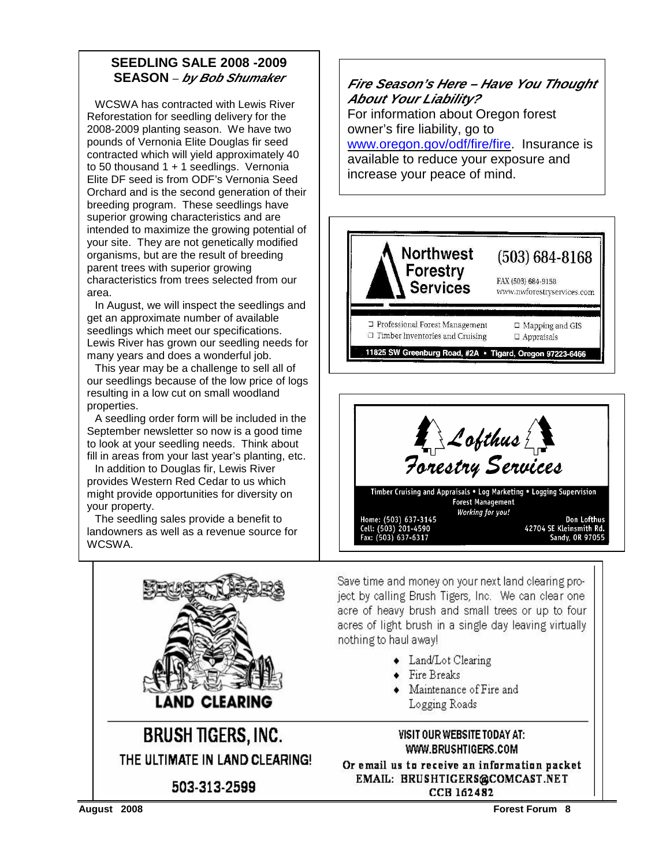### **SEEDLING SALE 2008 -2009 SEASON** – **by Bob Shumaker**

 WCSWA has contracted with Lewis River Reforestation for seedling delivery for the 2008-2009 planting season. We have two pounds of Vernonia Elite Douglas fir seed contracted which will yield approximately 40 to 50 thousand  $1 + 1$  seedlings. Vernonia Elite DF seed is from ODF's Vernonia Seed Orchard and is the second generation of their breeding program. These seedlings have superior growing characteristics and are intended to maximize the growing potential of your site. They are not genetically modified organisms, but are the result of breeding parent trees with superior growing characteristics from trees selected from our area.

 In August, we will inspect the seedlings and get an approximate number of available seedlings which meet our specifications. Lewis River has grown our seedling needs for many years and does a wonderful job.

 This year may be a challenge to sell all of our seedlings because of the low price of logs resulting in a low cut on small woodland properties.

 A seedling order form will be included in the September newsletter so now is a good time to look at your seedling needs. Think about fill in areas from your last year's planting, etc.

 In addition to Douglas fir, Lewis River provides Western Red Cedar to us which might provide opportunities for diversity on your property.

 The seedling sales provide a benefit to landowners as well as a revenue source for **WCSWA** 







Save time and money on your next land clearing project by calling Brush Tigers, Inc. We can clear one acre of heavy brush and small trees or up to four acres of light brush in a single day leaving virtually nothing to haul away!

- Land/Lot Clearing
- $\bullet$  Fire Breaks
- Maintenance of Fire and Logging Roads

### VISIT OUR WEBSITE TODAY AT: WWW.BRUSHTIGERS.COM

Or email us to receive an information packet EMAIL: BRUSHTIGERS@COMCAST.NET **CCB 162482** 

503-313-2599

**BRUSH TIGERS, INC.** 

THE ULTIMATE IN LAND CLEARING!

**CLEARI** 

**August 2008 Forest Forum 8**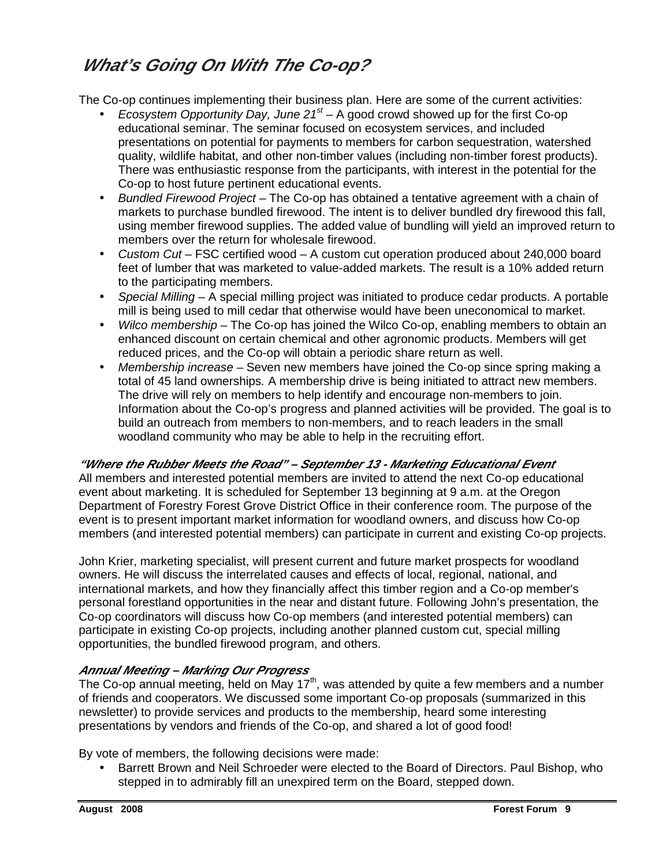# **What's Going On With The Co-op?**

The Co-op continues implementing their business plan. Here are some of the current activities:

- Ecosystem Opportunity Day, June  $21<sup>st</sup> A$  good crowd showed up for the first Co-op educational seminar. The seminar focused on ecosystem services, and included presentations on potential for payments to members for carbon sequestration, watershed quality, wildlife habitat, and other non-timber values (including non-timber forest products). There was enthusiastic response from the participants, with interest in the potential for the Co-op to host future pertinent educational events.
- Bundled Firewood Project The Co-op has obtained a tentative agreement with a chain of markets to purchase bundled firewood. The intent is to deliver bundled dry firewood this fall, using member firewood supplies. The added value of bundling will yield an improved return to members over the return for wholesale firewood.
- Custom Cut FSC certified wood A custom cut operation produced about 240,000 board feet of lumber that was marketed to value-added markets. The result is a 10% added return to the participating members.
- Special Milling  $-$  A special milling project was initiated to produce cedar products. A portable mill is being used to mill cedar that otherwise would have been uneconomical to market.
- Wilco membership The Co-op has joined the Wilco Co-op, enabling members to obtain an enhanced discount on certain chemical and other agronomic products. Members will get reduced prices, and the Co-op will obtain a periodic share return as well.
- Membership increase Seven new members have joined the Co-op since spring making a total of 45 land ownerships. A membership drive is being initiated to attract new members. The drive will rely on members to help identify and encourage non-members to join. Information about the Co-op's progress and planned activities will be provided. The goal is to build an outreach from members to non-members, and to reach leaders in the small woodland community who may be able to help in the recruiting effort.

### **"Where the Rubber Meets the Road" – September 13 - Marketing Educational Event**

All members and interested potential members are invited to attend the next Co-op educational event about marketing. It is scheduled for September 13 beginning at 9 a.m. at the Oregon Department of Forestry Forest Grove District Office in their conference room. The purpose of the event is to present important market information for woodland owners, and discuss how Co-op members (and interested potential members) can participate in current and existing Co-op projects.

John Krier, marketing specialist, will present current and future market prospects for woodland owners. He will discuss the interrelated causes and effects of local, regional, national, and international markets, and how they financially affect this timber region and a Co-op member's personal forestland opportunities in the near and distant future. Following John's presentation, the Co-op coordinators will discuss how Co-op members (and interested potential members) can participate in existing Co-op projects, including another planned custom cut, special milling opportunities, the bundled firewood program, and others.

### **Annual Meeting – Marking Our Progress**

The Co-op annual meeting, held on May  $17<sup>th</sup>$ , was attended by quite a few members and a number of friends and cooperators. We discussed some important Co-op proposals (summarized in this newsletter) to provide services and products to the membership, heard some interesting presentations by vendors and friends of the Co-op, and shared a lot of good food!

By vote of members, the following decisions were made:

• Barrett Brown and Neil Schroeder were elected to the Board of Directors. Paul Bishop, who stepped in to admirably fill an unexpired term on the Board, stepped down.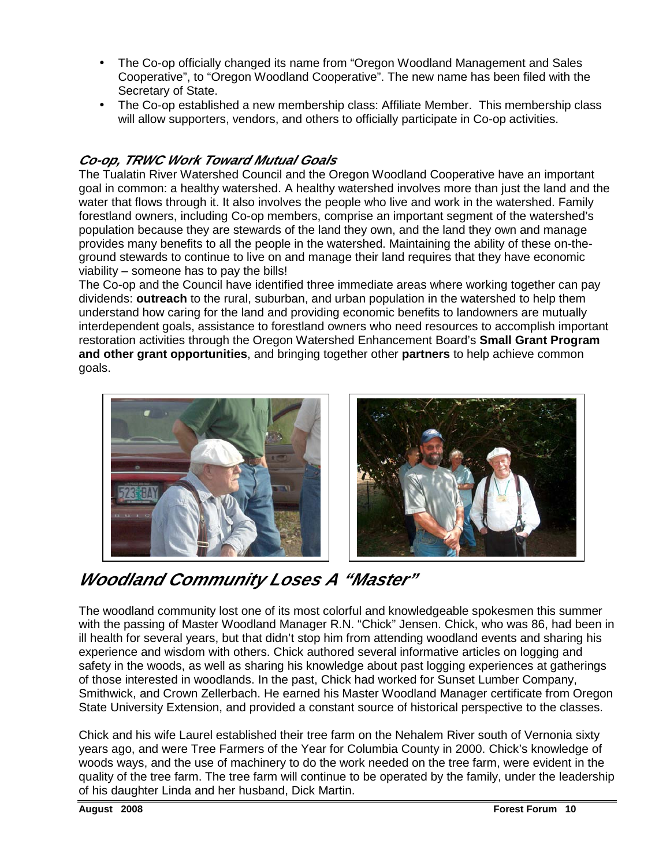- The Co-op officially changed its name from "Oregon Woodland Management and Sales Cooperative", to "Oregon Woodland Cooperative". The new name has been filed with the Secretary of State.
- The Co-op established a new membership class: Affiliate Member. This membership class will allow supporters, vendors, and others to officially participate in Co-op activities.

## **Co-op, TRWC Work Toward Mutual Goals**

The Tualatin River Watershed Council and the Oregon Woodland Cooperative have an important goal in common: a healthy watershed. A healthy watershed involves more than just the land and the water that flows through it. It also involves the people who live and work in the watershed. Family forestland owners, including Co-op members, comprise an important segment of the watershed's population because they are stewards of the land they own, and the land they own and manage provides many benefits to all the people in the watershed. Maintaining the ability of these on-theground stewards to continue to live on and manage their land requires that they have economic viability – someone has to pay the bills!

The Co-op and the Council have identified three immediate areas where working together can pay dividends: **outreach** to the rural, suburban, and urban population in the watershed to help them understand how caring for the land and providing economic benefits to landowners are mutually interdependent goals, assistance to forestland owners who need resources to accomplish important restoration activities through the Oregon Watershed Enhancement Board's **Small Grant Program and other grant opportunities**, and bringing together other **partners** to help achieve common goals.





# **Woodland Community Loses A "Master"**

The woodland community lost one of its most colorful and knowledgeable spokesmen this summer with the passing of Master Woodland Manager R.N. "Chick" Jensen. Chick, who was 86, had been in ill health for several years, but that didn't stop him from attending woodland events and sharing his experience and wisdom with others. Chick authored several informative articles on logging and safety in the woods, as well as sharing his knowledge about past logging experiences at gatherings of those interested in woodlands. In the past, Chick had worked for Sunset Lumber Company, Smithwick, and Crown Zellerbach. He earned his Master Woodland Manager certificate from Oregon State University Extension, and provided a constant source of historical perspective to the classes.

Chick and his wife Laurel established their tree farm on the Nehalem River south of Vernonia sixty years ago, and were Tree Farmers of the Year for Columbia County in 2000. Chick's knowledge of woods ways, and the use of machinery to do the work needed on the tree farm, were evident in the quality of the tree farm. The tree farm will continue to be operated by the family, under the leadership of his daughter Linda and her husband, Dick Martin.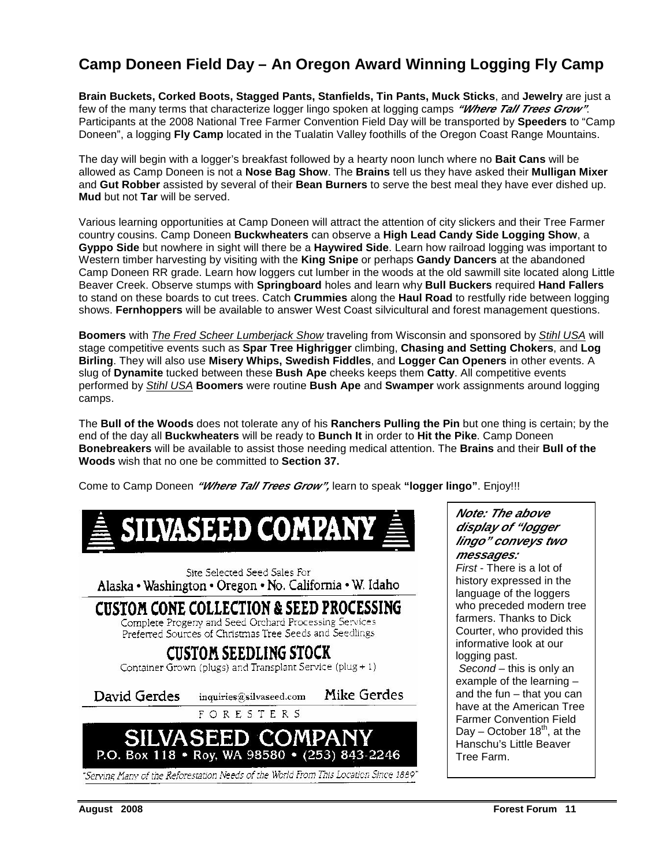# **Camp Doneen Field Day – An Oregon Award Winning Logging Fly Camp**

**Brain Buckets, Corked Boots, Stagged Pants, Stanfields, Tin Pants, Muck Sticks**, and **Jewelry** are just a few of the many terms that characterize logger lingo spoken at logging camps **"Where Tall Trees Grow"**. Participants at the 2008 National Tree Farmer Convention Field Day will be transported by **Speeders** to "Camp Doneen", a logging **Fly Camp** located in the Tualatin Valley foothills of the Oregon Coast Range Mountains.

The day will begin with a logger's breakfast followed by a hearty noon lunch where no **Bait Cans** will be allowed as Camp Doneen is not a **Nose Bag Show**. The **Brains** tell us they have asked their **Mulligan Mixer** and **Gut Robber** assisted by several of their **Bean Burners** to serve the best meal they have ever dished up. **Mud** but not **Tar** will be served.

Various learning opportunities at Camp Doneen will attract the attention of city slickers and their Tree Farmer country cousins. Camp Doneen **Buckwheaters** can observe a **High Lead Candy Side Logging Show**, a **Gyppo Side** but nowhere in sight will there be a **Haywired Side**. Learn how railroad logging was important to Western timber harvesting by visiting with the **King Snipe** or perhaps **Gandy Dancers** at the abandoned Camp Doneen RR grade. Learn how loggers cut lumber in the woods at the old sawmill site located along Little Beaver Creek. Observe stumps with **Springboard** holes and learn why **Bull Buckers** required **Hand Fallers** to stand on these boards to cut trees. Catch **Crummies** along the **Haul Road** to restfully ride between logging shows. **Fernhoppers** will be available to answer West Coast silvicultural and forest management questions.

**Boomers** with *The Fred Scheer Lumberjack Show* traveling from Wisconsin and sponsored by *Stihl USA* will stage competitive events such as **Spar Tree Highrigger** climbing, **Chasing and Setting Chokers**, and **Log Birling**. They will also use **Misery Whips, Swedish Fiddles**, and **Logger Can Openers** in other events. A slug of **Dynamite** tucked between these **Bush Ape** cheeks keeps them **Catty**. All competitive events performed by Stihl USA **Boomers** were routine **Bush Ape** and **Swamper** work assignments around logging camps.

The **Bull of the Woods** does not tolerate any of his **Ranchers Pulling the Pin** but one thing is certain; by the end of the day all **Buckwheaters** will be ready to **Bunch It** in order to **Hit the Pike**. Camp Doneen **Bonebreakers** will be available to assist those needing medical attention. The **Brains** and their **Bull of the Woods** wish that no one be committed to **Section 37.**

Come to Camp Doneen **"Where Tall Trees Grow",** learn to speak **"logger lingo"**. Enjoy!!!



**Note: The above display of "logger lingo" conveys two messages:** 

First - There is a lot of history expressed in the language of the loggers who preceded modern tree farmers. Thanks to Dick Courter, who provided this informative look at our logging past. Second – this is only an example of the learning – and the fun – that you can

have at the American Tree Farmer Convention Field Day – October  $18<sup>th</sup>$ , at the Hanschu's Little Beaver Tree Farm.